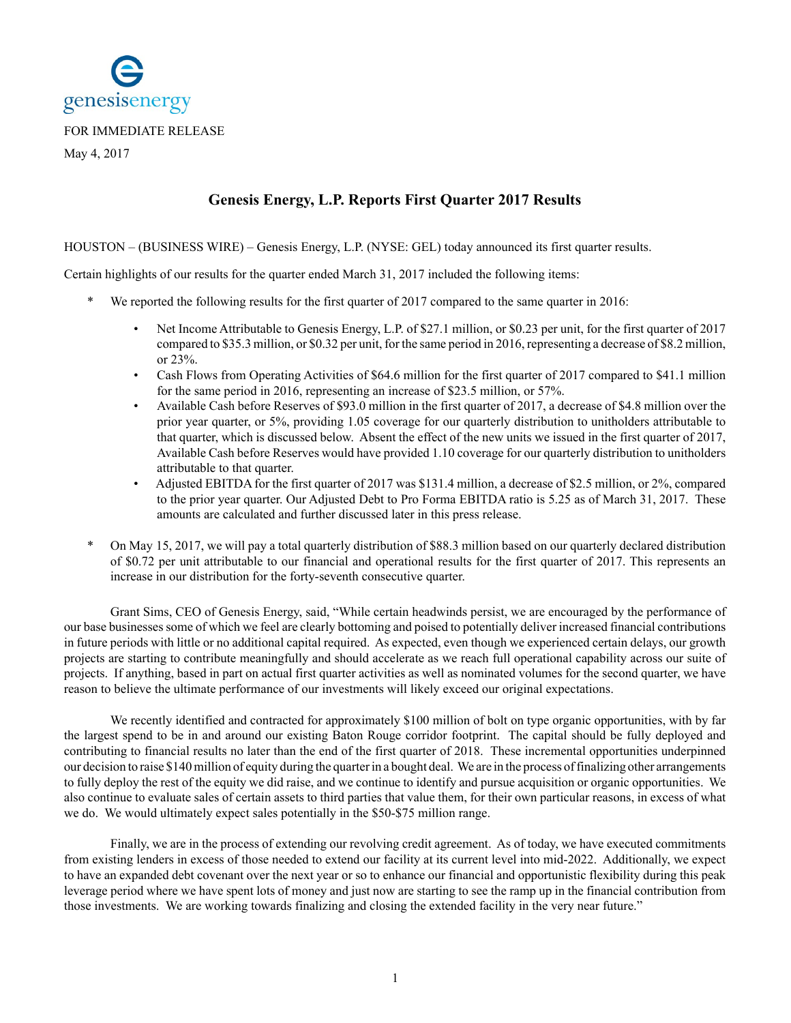

FOR IMMEDIATE RELEASE

May 4, 2017

# **Genesis Energy, L.P. Reports First Quarter 2017 Results**

HOUSTON – (BUSINESS WIRE) – Genesis Energy, L.P. (NYSE: GEL) today announced its first quarter results.

Certain highlights of our results for the quarter ended March 31, 2017 included the following items:

- \* We reported the following results for the first quarter of 2017 compared to the same quarter in 2016:
	- Net Income Attributable to Genesis Energy, L.P. of \$27.1 million, or \$0.23 per unit, for the first quarter of 2017 compared to \$35.3 million, or \$0.32 per unit, for the same period in 2016, representing a decrease of \$8.2 million, or 23%.
	- Cash Flows from Operating Activities of \$64.6 million for the first quarter of 2017 compared to \$41.1 million for the same period in 2016, representing an increase of \$23.5 million, or 57%.
	- Available Cash before Reserves of \$93.0 million in the first quarter of 2017, a decrease of \$4.8 million over the prior year quarter, or 5%, providing 1.05 coverage for our quarterly distribution to unitholders attributable to that quarter, which is discussed below. Absent the effect of the new units we issued in the first quarter of 2017, Available Cash before Reserves would have provided 1.10 coverage for our quarterly distribution to unitholders attributable to that quarter.
	- Adjusted EBITDA for the first quarter of 2017 was \$131.4 million, a decrease of \$2.5 million, or 2%, compared to the prior year quarter. Our Adjusted Debt to Pro Forma EBITDA ratio is 5.25 as of March 31, 2017. These amounts are calculated and further discussed later in this press release.
- \* On May 15, 2017, we will pay a total quarterly distribution of \$88.3 million based on our quarterly declared distribution of \$0.72 per unit attributable to our financial and operational results for the first quarter of 2017. This represents an increase in our distribution for the forty-seventh consecutive quarter.

Grant Sims, CEO of Genesis Energy, said, "While certain headwinds persist, we are encouraged by the performance of our base businesses some of which we feel are clearly bottoming and poised to potentially deliver increased financial contributions in future periods with little or no additional capital required. As expected, even though we experienced certain delays, our growth projects are starting to contribute meaningfully and should accelerate as we reach full operational capability across our suite of projects. If anything, based in part on actual first quarter activities as well as nominated volumes for the second quarter, we have reason to believe the ultimate performance of our investments will likely exceed our original expectations.

We recently identified and contracted for approximately \$100 million of bolt on type organic opportunities, with by far the largest spend to be in and around our existing Baton Rouge corridor footprint. The capital should be fully deployed and contributing to financial results no later than the end of the first quarter of 2018. These incremental opportunities underpinned our decision to raise \$140 million of equity during the quarter in a bought deal. We are in the process of finalizing other arrangements to fully deploy the rest of the equity we did raise, and we continue to identify and pursue acquisition or organic opportunities. We also continue to evaluate sales of certain assets to third parties that value them, for their own particular reasons, in excess of what we do. We would ultimately expect sales potentially in the \$50-\$75 million range.

Finally, we are in the process of extending our revolving credit agreement. As of today, we have executed commitments from existing lenders in excess of those needed to extend our facility at its current level into mid-2022. Additionally, we expect to have an expanded debt covenant over the next year or so to enhance our financial and opportunistic flexibility during this peak leverage period where we have spent lots of money and just now are starting to see the ramp up in the financial contribution from those investments. We are working towards finalizing and closing the extended facility in the very near future."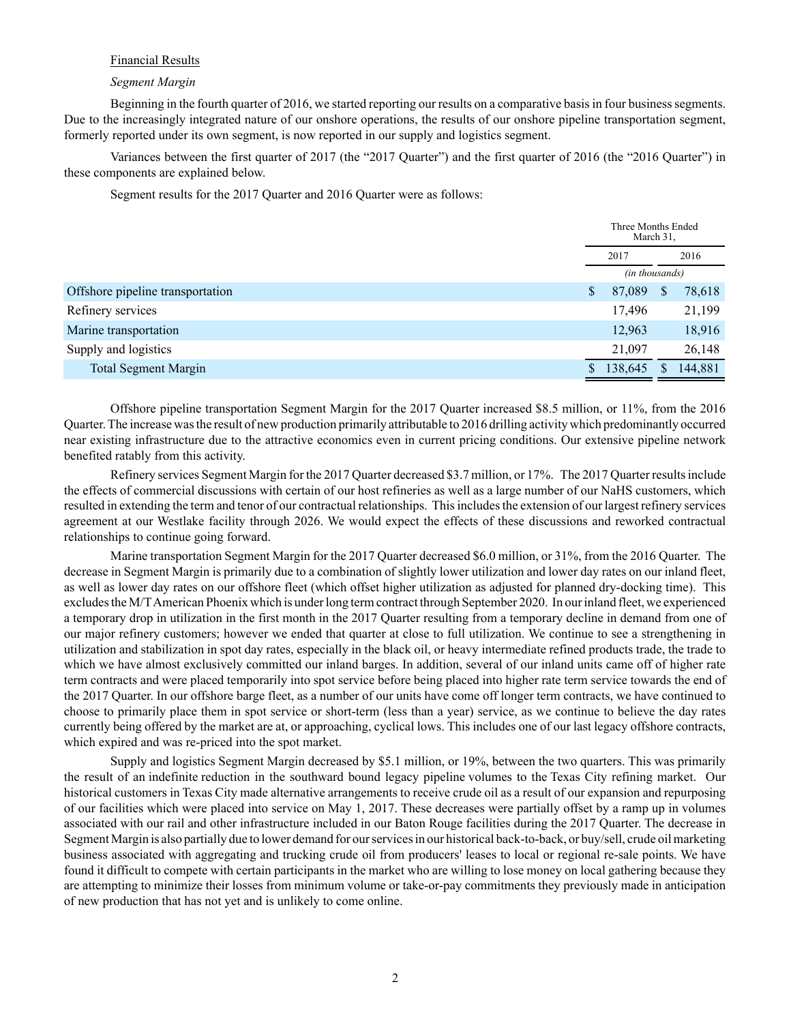### Financial Results

### *Segment Margin*

Beginning in the fourth quarter of 2016, we started reporting our results on a comparative basis in four business segments. Due to the increasingly integrated nature of our onshore operations, the results of our onshore pipeline transportation segment, formerly reported under its own segment, is now reported in our supply and logistics segment.

Variances between the first quarter of 2017 (the "2017 Quarter") and the first quarter of 2016 (the "2016 Quarter") in these components are explained below.

Segment results for the 2017 Quarter and 2016 Quarter were as follows:

|                                  | Three Months Ended<br>March 31. |         |   |         |
|----------------------------------|---------------------------------|---------|---|---------|
|                                  | 2017                            |         |   | 2016    |
|                                  | (in thousands)                  |         |   |         |
| Offshore pipeline transportation | \$                              | 87,089  | S | 78,618  |
| Refinery services                |                                 | 17,496  |   | 21,199  |
| Marine transportation            |                                 | 12,963  |   | 18,916  |
| Supply and logistics             |                                 | 21,097  |   | 26,148  |
| <b>Total Segment Margin</b>      |                                 | 138,645 |   | 144,881 |

Offshore pipeline transportation Segment Margin for the 2017 Quarter increased \$8.5 million, or 11%, from the 2016 Quarter. The increase was the result of new production primarily attributable to 2016 drilling activity which predominantly occurred near existing infrastructure due to the attractive economics even in current pricing conditions. Our extensive pipeline network benefited ratably from this activity.

Refinery services Segment Margin for the 2017 Quarter decreased \$3.7 million, or 17%. The 2017 Quarter results include the effects of commercial discussions with certain of our host refineries as well as a large number of our NaHS customers, which resulted in extending the term and tenor of our contractual relationships. This includes the extension of our largest refinery services agreement at our Westlake facility through 2026. We would expect the effects of these discussions and reworked contractual relationships to continue going forward.

Marine transportation Segment Margin for the 2017 Quarter decreased \$6.0 million, or 31%, from the 2016 Quarter. The decrease in Segment Margin is primarily due to a combination of slightly lower utilization and lower day rates on our inland fleet, as well as lower day rates on our offshore fleet (which offset higher utilization as adjusted for planned dry-docking time). This excludes the M/TAmerican Phoenix which is under long term contract through September 2020. In our inland fleet, we experienced a temporary drop in utilization in the first month in the 2017 Quarter resulting from a temporary decline in demand from one of our major refinery customers; however we ended that quarter at close to full utilization. We continue to see a strengthening in utilization and stabilization in spot day rates, especially in the black oil, or heavy intermediate refined products trade, the trade to which we have almost exclusively committed our inland barges. In addition, several of our inland units came off of higher rate term contracts and were placed temporarily into spot service before being placed into higher rate term service towards the end of the 2017 Quarter. In our offshore barge fleet, as a number of our units have come off longer term contracts, we have continued to choose to primarily place them in spot service or short-term (less than a year) service, as we continue to believe the day rates currently being offered by the market are at, or approaching, cyclical lows. This includes one of our last legacy offshore contracts, which expired and was re-priced into the spot market.

Supply and logistics Segment Margin decreased by \$5.1 million, or 19%, between the two quarters. This was primarily the result of an indefinite reduction in the southward bound legacy pipeline volumes to the Texas City refining market. Our historical customers in Texas City made alternative arrangements to receive crude oil as a result of our expansion and repurposing of our facilities which were placed into service on May 1, 2017. These decreases were partially offset by a ramp up in volumes associated with our rail and other infrastructure included in our Baton Rouge facilities during the 2017 Quarter. The decrease in Segment Margin is also partially due to lower demand for our services in our historical back-to-back, or buy/sell, crude oil marketing business associated with aggregating and trucking crude oil from producers' leases to local or regional re-sale points. We have found it difficult to compete with certain participants in the market who are willing to lose money on local gathering because they are attempting to minimize their losses from minimum volume or take-or-pay commitments they previously made in anticipation of new production that has not yet and is unlikely to come online.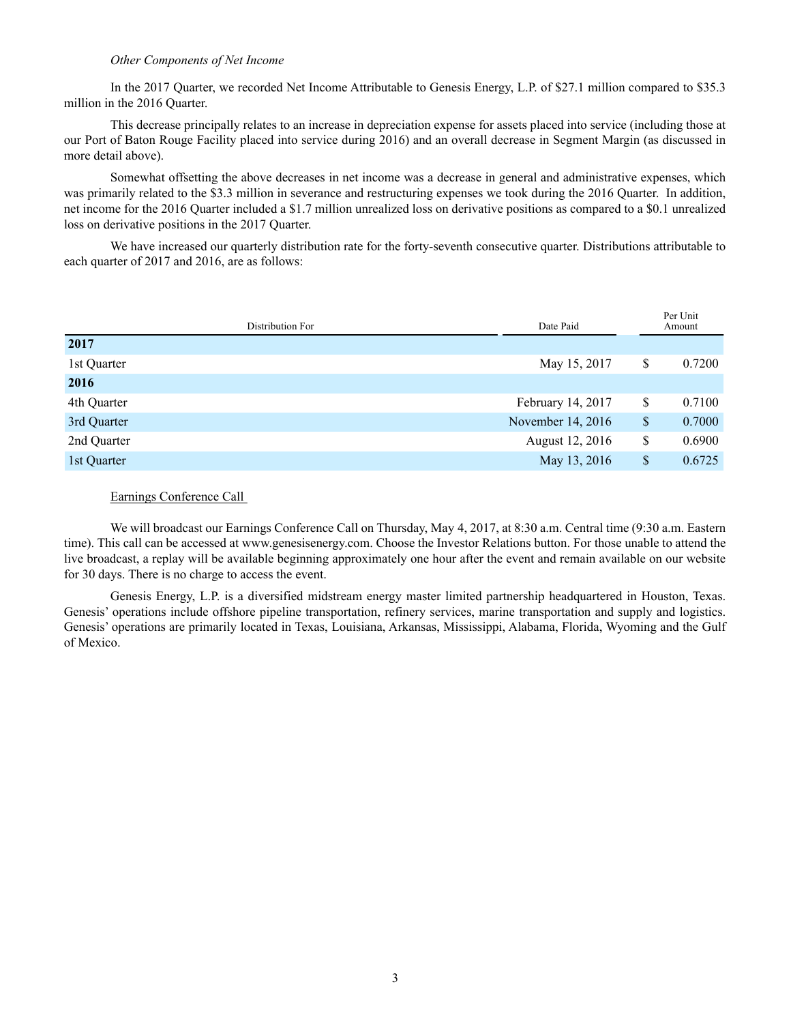### *Other Components of Net Income*

In the 2017 Quarter, we recorded Net Income Attributable to Genesis Energy, L.P. of \$27.1 million compared to \$35.3 million in the 2016 Quarter.

This decrease principally relates to an increase in depreciation expense for assets placed into service (including those at our Port of Baton Rouge Facility placed into service during 2016) and an overall decrease in Segment Margin (as discussed in more detail above).

Somewhat offsetting the above decreases in net income was a decrease in general and administrative expenses, which was primarily related to the \$3.3 million in severance and restructuring expenses we took during the 2016 Quarter. In addition, net income for the 2016 Quarter included a \$1.7 million unrealized loss on derivative positions as compared to a \$0.1 unrealized loss on derivative positions in the 2017 Quarter.

We have increased our quarterly distribution rate for the forty-seventh consecutive quarter. Distributions attributable to each quarter of 2017 and 2016, are as follows:

|             | Distribution For | Date Paid         |              | Per Unit<br>Amount |
|-------------|------------------|-------------------|--------------|--------------------|
| 2017        |                  |                   |              |                    |
| 1st Quarter |                  | May 15, 2017      | \$           | 0.7200             |
| 2016        |                  |                   |              |                    |
| 4th Quarter |                  | February 14, 2017 | \$           | 0.7100             |
| 3rd Quarter |                  | November 14, 2016 | \$           | 0.7000             |
| 2nd Quarter |                  | August 12, 2016   | \$           | 0.6900             |
| 1st Quarter |                  | May 13, 2016      | $\mathbb{S}$ | 0.6725             |

### Earnings Conference Call

We will broadcast our Earnings Conference Call on Thursday, May 4, 2017, at 8:30 a.m. Central time (9:30 a.m. Eastern time). This call can be accessed at www.genesisenergy.com. Choose the Investor Relations button. For those unable to attend the live broadcast, a replay will be available beginning approximately one hour after the event and remain available on our website for 30 days. There is no charge to access the event.

Genesis Energy, L.P. is a diversified midstream energy master limited partnership headquartered in Houston, Texas. Genesis' operations include offshore pipeline transportation, refinery services, marine transportation and supply and logistics. Genesis' operations are primarily located in Texas, Louisiana, Arkansas, Mississippi, Alabama, Florida, Wyoming and the Gulf of Mexico.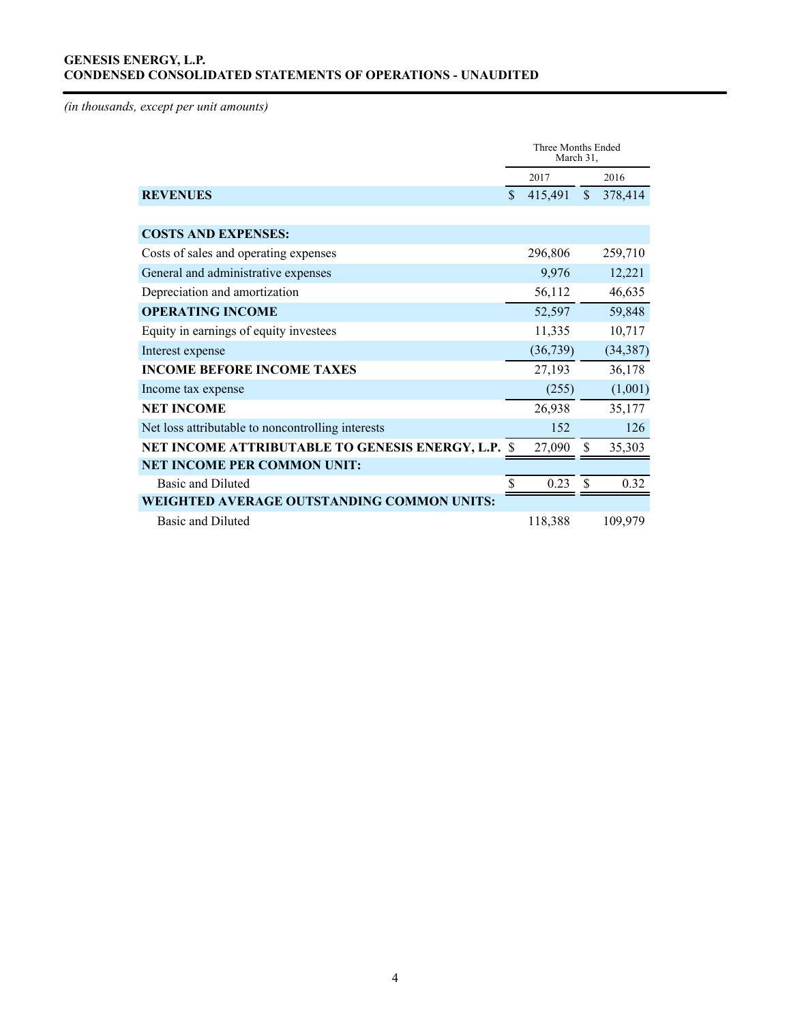# **GENESIS ENERGY, L.P. CONDENSED CONSOLIDATED STATEMENTS OF OPERATIONS - UNAUDITED**

*(in thousands, except per unit amounts)*

|                                                   | Three Months Ended<br>March 31. |           |                           |           |
|---------------------------------------------------|---------------------------------|-----------|---------------------------|-----------|
|                                                   | 2017                            |           |                           | 2016      |
| <b>REVENUES</b>                                   | $\mathbf{\hat{S}}$<br>415,491   |           | $\boldsymbol{\mathsf{S}}$ | 378,414   |
|                                                   |                                 |           |                           |           |
| <b>COSTS AND EXPENSES:</b>                        |                                 |           |                           |           |
| Costs of sales and operating expenses             |                                 | 296,806   |                           | 259,710   |
| General and administrative expenses               |                                 | 9,976     |                           | 12,221    |
| Depreciation and amortization                     |                                 | 56,112    |                           | 46,635    |
| <b>OPERATING INCOME</b>                           |                                 | 52,597    |                           | 59,848    |
| Equity in earnings of equity investees            |                                 | 11,335    |                           | 10,717    |
| Interest expense                                  |                                 | (36, 739) |                           | (34, 387) |
| <b>INCOME BEFORE INCOME TAXES</b>                 |                                 | 27,193    |                           | 36,178    |
| Income tax expense                                |                                 | (255)     |                           | (1,001)   |
| <b>NET INCOME</b>                                 |                                 | 26,938    |                           | 35,177    |
| Net loss attributable to noncontrolling interests |                                 | 152       |                           | 126       |
| NET INCOME ATTRIBUTABLE TO GENESIS ENERGY, L.P.   | <sup>S</sup>                    | 27,090    | \$                        | 35,303    |
| <b>NET INCOME PER COMMON UNIT:</b>                |                                 |           |                           |           |
| Basic and Diluted                                 | $\mathsf{\$}$                   | 0.23      | \$                        | 0.32      |
| <b>WEIGHTED AVERAGE OUTSTANDING COMMON UNITS:</b> |                                 |           |                           |           |
| Basic and Diluted                                 |                                 | 118,388   |                           | 109,979   |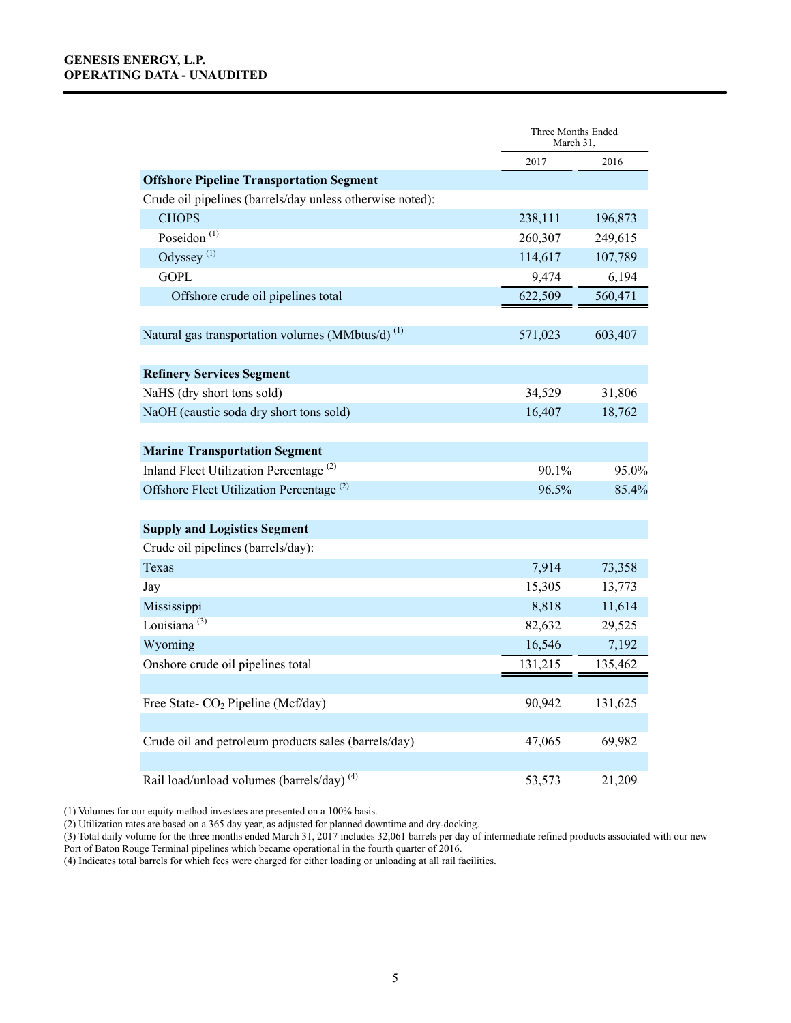# **GENESIS ENERGY, L.P. OPERATING DATA - UNAUDITED**

|                                                              | Three Months Ended<br>March 31. |         |
|--------------------------------------------------------------|---------------------------------|---------|
|                                                              | 2017                            | 2016    |
| <b>Offshore Pipeline Transportation Segment</b>              |                                 |         |
| Crude oil pipelines (barrels/day unless otherwise noted):    |                                 |         |
| <b>CHOPS</b>                                                 | 238,111                         | 196,873 |
| Poseidon <sup>(1)</sup>                                      | 260,307                         | 249,615 |
| Odyssey $(1)$                                                | 114,617                         | 107,789 |
| <b>GOPL</b>                                                  | 9,474                           | 6,194   |
| Offshore crude oil pipelines total                           | 622,509                         | 560,471 |
|                                                              |                                 |         |
| Natural gas transportation volumes (MMbtus/d) <sup>(1)</sup> | 571,023                         | 603,407 |
|                                                              |                                 |         |
| <b>Refinery Services Segment</b>                             |                                 |         |
| NaHS (dry short tons sold)                                   | 34,529                          | 31,806  |
| NaOH (caustic soda dry short tons sold)                      | 16,407                          | 18,762  |
|                                                              |                                 |         |
| <b>Marine Transportation Segment</b>                         |                                 |         |
| Inland Fleet Utilization Percentage <sup>(2)</sup>           | 90.1%                           | 95.0%   |
| Offshore Fleet Utilization Percentage <sup>(2)</sup>         | 96.5%                           | 85.4%   |
|                                                              |                                 |         |
| <b>Supply and Logistics Segment</b>                          |                                 |         |
| Crude oil pipelines (barrels/day):                           |                                 |         |
| Texas                                                        | 7,914                           | 73,358  |
| Jay                                                          | 15,305                          | 13,773  |
| Mississippi                                                  | 8,818                           | 11,614  |
| Louisiana $^{(3)}$                                           | 82,632                          | 29,525  |
| Wyoming                                                      | 16,546                          | 7,192   |
| Onshore crude oil pipelines total                            | 131,215                         | 135,462 |
|                                                              |                                 |         |
| Free State- $CO2$ Pipeline (Mcf/day)                         | 90,942                          | 131,625 |
|                                                              |                                 |         |
| Crude oil and petroleum products sales (barrels/day)         | 47,065                          | 69,982  |
|                                                              |                                 |         |
| Rail load/unload volumes (barrels/day) <sup>(4)</sup>        | 53,573                          | 21,209  |

(1) Volumes for our equity method investees are presented on a 100% basis.

(2) Utilization rates are based on a 365 day year, as adjusted for planned downtime and dry-docking.

(3) Total daily volume for the three months ended March 31, 2017 includes 32,061 barrels per day of intermediate refined products associated with our new Port of Baton Rouge Terminal pipelines which became operational in the fourth quarter of 2016.

(4) Indicates total barrels for which fees were charged for either loading or unloading at all rail facilities.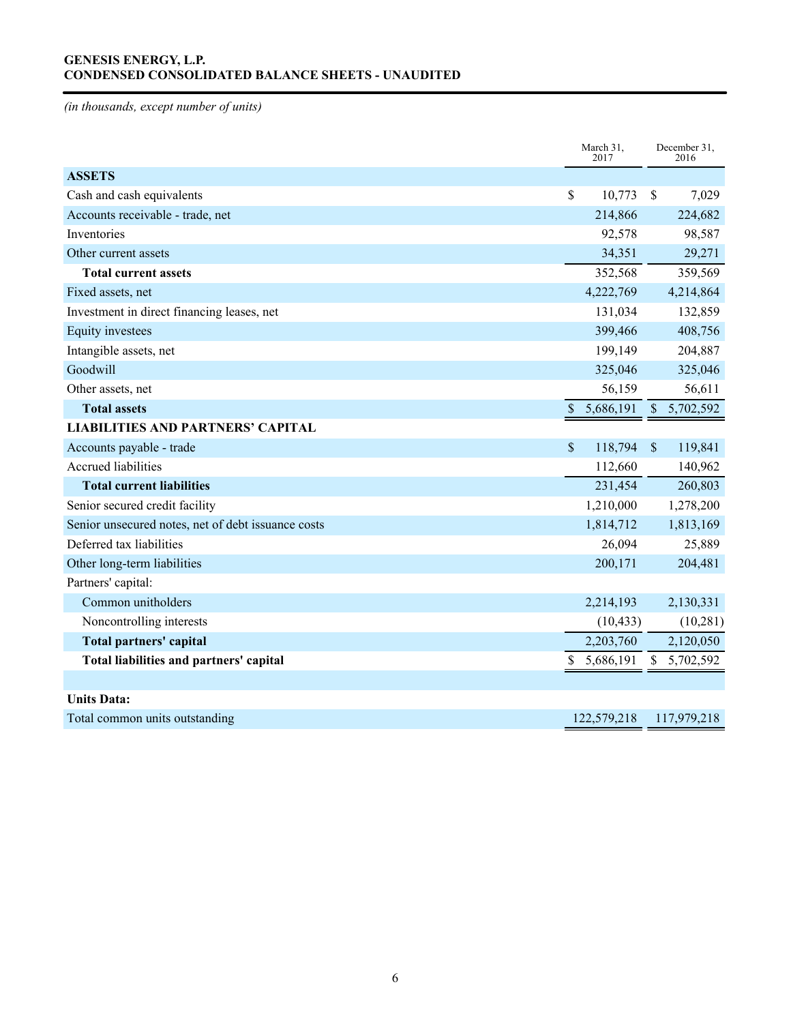# **GENESIS ENERGY, L.P. CONDENSED CONSOLIDATED BALANCE SHEETS - UNAUDITED**

*(in thousands, except number of units)* 

|                                                    | March 31,<br>2017 | December 31.<br>2016                   |
|----------------------------------------------------|-------------------|----------------------------------------|
| <b>ASSETS</b>                                      |                   |                                        |
| Cash and cash equivalents                          | \$<br>10,773      | $\mathbb{S}$<br>7,029                  |
| Accounts receivable - trade, net                   | 214,866           | 224,682                                |
| Inventories                                        | 92,578            | 98,587                                 |
| Other current assets                               | 34,351            | 29,271                                 |
| <b>Total current assets</b>                        | 352,568           | 359,569                                |
| Fixed assets, net                                  | 4,222,769         | 4,214,864                              |
| Investment in direct financing leases, net         | 131,034           | 132,859                                |
| <b>Equity</b> investees                            | 399,466           | 408,756                                |
| Intangible assets, net                             | 199,149           | 204,887                                |
| Goodwill                                           | 325,046           | 325,046                                |
| Other assets, net                                  | 56,159            | 56,611                                 |
| <b>Total assets</b>                                | \$<br>5,686,191   | $\boldsymbol{\mathsf{S}}$<br>5,702,592 |
| <b>LIABILITIES AND PARTNERS' CAPITAL</b>           |                   |                                        |
| Accounts payable - trade                           | \$<br>118,794     | $\mathbb{S}$<br>119,841                |
| Accrued liabilities                                | 112,660           | 140,962                                |
| <b>Total current liabilities</b>                   | 231,454           | 260,803                                |
| Senior secured credit facility                     | 1,210,000         | 1,278,200                              |
| Senior unsecured notes, net of debt issuance costs | 1,814,712         | 1,813,169                              |
| Deferred tax liabilities                           | 26,094            | 25,889                                 |
| Other long-term liabilities                        | 200,171           | 204,481                                |
| Partners' capital:                                 |                   |                                        |
| Common unitholders                                 | 2,214,193         | 2,130,331                              |
| Noncontrolling interests                           | (10, 433)         | (10, 281)                              |
| <b>Total partners' capital</b>                     | 2,203,760         | 2,120,050                              |
| Total liabilities and partners' capital            | \$5,686,191       | \$5,702,592                            |
|                                                    |                   |                                        |
| <b>Units Data:</b>                                 |                   |                                        |
| Total common units outstanding                     | 122,579,218       | 117,979,218                            |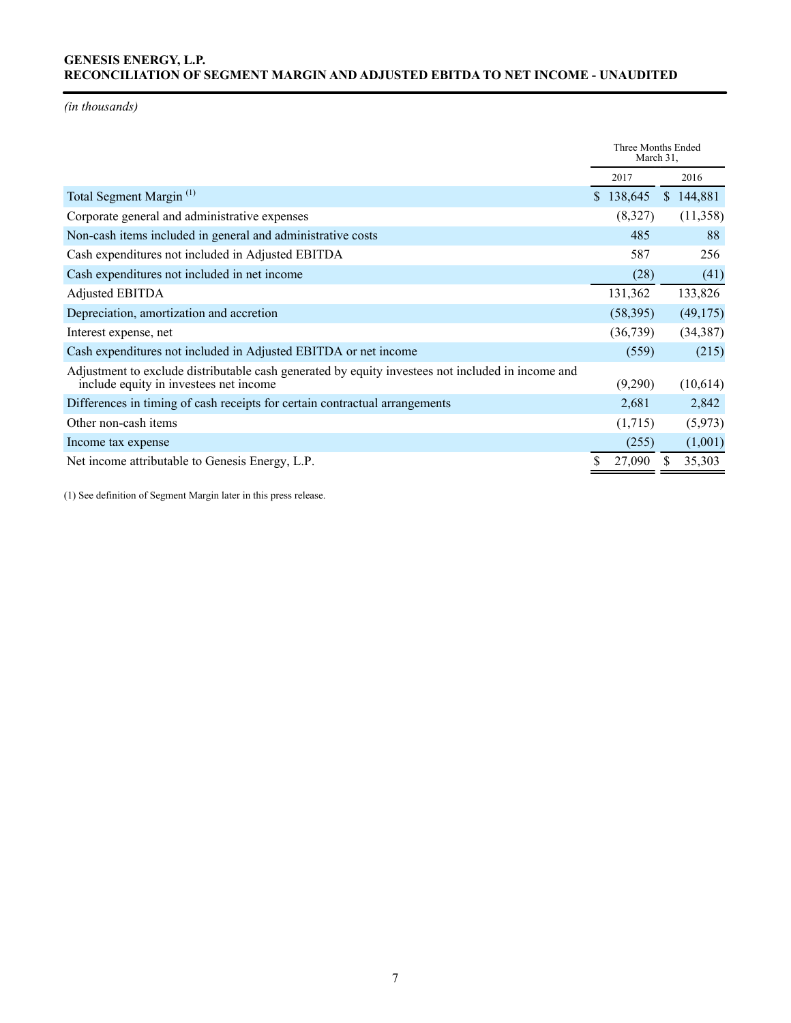# **GENESIS ENERGY, L.P. RECONCILIATION OF SEGMENT MARGIN AND ADJUSTED EBITDA TO NET INCOME - UNAUDITED**

*(in thousands)* 

|                                                                                                                                             | Three Months Ended<br>March 31, |           |    |           |
|---------------------------------------------------------------------------------------------------------------------------------------------|---------------------------------|-----------|----|-----------|
|                                                                                                                                             |                                 | 2017      |    | 2016      |
| Total Segment Margin <sup>(1)</sup>                                                                                                         |                                 | \$138,645 |    | \$144,881 |
| Corporate general and administrative expenses                                                                                               |                                 | (8,327)   |    | (11,358)  |
| Non-cash items included in general and administrative costs                                                                                 |                                 | 485       |    | 88        |
| Cash expenditures not included in Adjusted EBITDA                                                                                           |                                 | 587       |    | 256       |
| Cash expenditures not included in net income                                                                                                |                                 | (28)      |    | (41)      |
| Adjusted EBITDA                                                                                                                             |                                 | 131,362   |    | 133,826   |
| Depreciation, amortization and accretion                                                                                                    |                                 | (58, 395) |    | (49, 175) |
| Interest expense, net                                                                                                                       |                                 | (36, 739) |    | (34,387)  |
| Cash expenditures not included in Adjusted EBITDA or net income                                                                             |                                 | (559)     |    | (215)     |
| Adjustment to exclude distributable cash generated by equity investees not included in income and<br>include equity in investees net income |                                 | (9,290)   |    | (10,614)  |
| Differences in timing of cash receipts for certain contractual arrangements                                                                 |                                 | 2,681     |    | 2,842     |
| Other non-cash items                                                                                                                        |                                 | (1,715)   |    | (5,973)   |
| Income tax expense                                                                                                                          |                                 | (255)     |    | (1,001)   |
| Net income attributable to Genesis Energy, L.P.                                                                                             | \$                              | 27,090    | S. | 35,303    |

(1) See definition of Segment Margin later in this press release.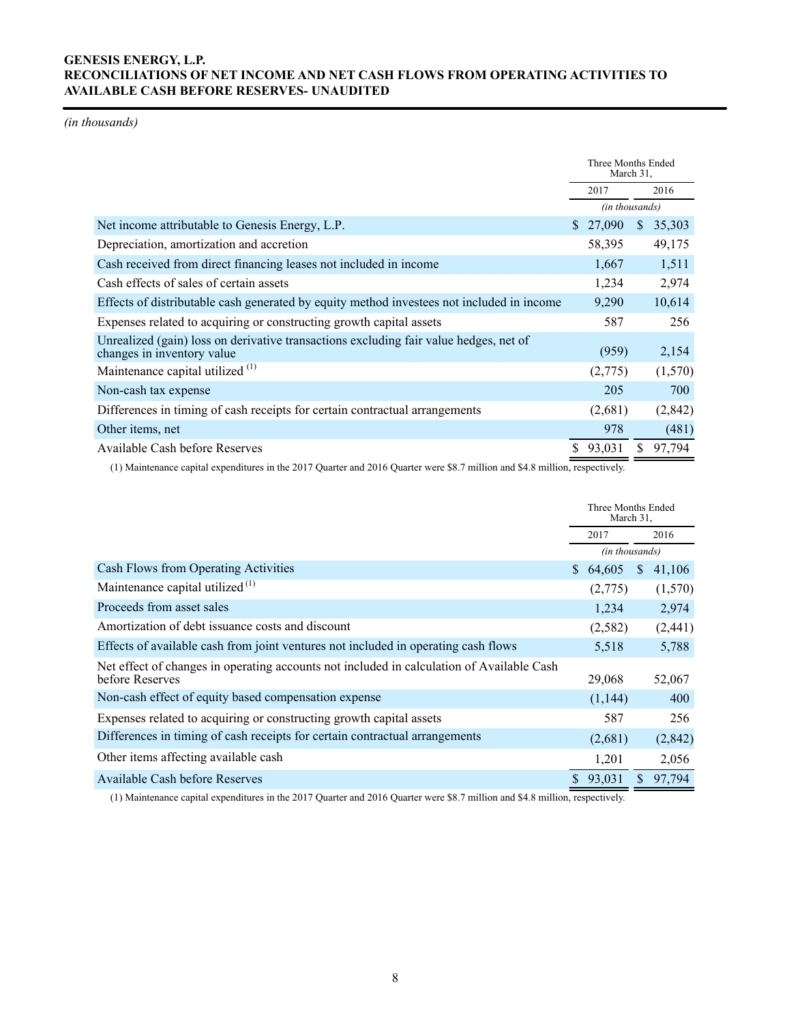# **GENESIS ENERGY, L.P. RECONCILIATIONS OF NET INCOME AND NET CASH FLOWS FROM OPERATING ACTIVITIES TO AVAILABLE CASH BEFORE RESERVES- UNAUDITED**

### *(in thousands)*

|                                                                                                                     | Three Months Ended<br>March 31, |                |              |         |
|---------------------------------------------------------------------------------------------------------------------|---------------------------------|----------------|--------------|---------|
|                                                                                                                     |                                 | 2017           |              | 2016    |
|                                                                                                                     |                                 | (in thousands) |              |         |
| Net income attributable to Genesis Energy, L.P.                                                                     |                                 | \$27,090       | <sup>S</sup> | 35,303  |
| Depreciation, amortization and accretion                                                                            |                                 | 58,395         |              | 49,175  |
| Cash received from direct financing leases not included in income                                                   |                                 | 1,667          |              | 1,511   |
| Cash effects of sales of certain assets                                                                             |                                 | 1,234          |              | 2,974   |
| Effects of distributable cash generated by equity method investees not included in income                           |                                 | 9,290          |              | 10,614  |
| Expenses related to acquiring or constructing growth capital assets                                                 |                                 | 587            |              | 256     |
| Unrealized (gain) loss on derivative transactions excluding fair value hedges, net of<br>changes in inventory value |                                 | (959)          |              | 2,154   |
| Maintenance capital utilized <sup>(1)</sup>                                                                         |                                 | (2,775)        |              | (1,570) |
| Non-cash tax expense                                                                                                |                                 | 205            |              | 700     |
| Differences in timing of cash receipts for certain contractual arrangements                                         |                                 | (2,681)        |              | (2,842) |
| Other items, net                                                                                                    |                                 | 978            |              | (481)   |
| Available Cash before Reserves                                                                                      |                                 | 93,031         |              | 97,794  |

(1) Maintenance capital expenditures in the 2017 Quarter and 2016 Quarter were \$8.7 million and \$4.8 million, respectively.

|                                                                                                              | Three Months Ended<br>March 31. |                |    |         |  |
|--------------------------------------------------------------------------------------------------------------|---------------------------------|----------------|----|---------|--|
|                                                                                                              |                                 | 2017           |    | 2016    |  |
|                                                                                                              |                                 | (in thousands) |    |         |  |
| Cash Flows from Operating Activities                                                                         |                                 | \$64,605       | S. | 41,106  |  |
| Maintenance capital utilized <sup>(1)</sup>                                                                  |                                 | (2,775)        |    | (1,570) |  |
| Proceeds from asset sales                                                                                    |                                 | 1,234          |    | 2,974   |  |
| Amortization of debt issuance costs and discount                                                             |                                 | (2,582)        |    | (2,441) |  |
| Effects of available cash from joint ventures not included in operating cash flows                           |                                 | 5,518          |    | 5,788   |  |
| Net effect of changes in operating accounts not included in calculation of Available Cash<br>before Reserves |                                 | 29,068         |    | 52,067  |  |
| Non-cash effect of equity based compensation expense                                                         |                                 | (1,144)        |    | 400     |  |
| Expenses related to acquiring or constructing growth capital assets                                          |                                 | 587            |    | 256     |  |
| Differences in timing of cash receipts for certain contractual arrangements                                  |                                 | (2,681)        |    | (2,842) |  |
| Other items affecting available cash                                                                         |                                 | 1,201          |    | 2,056   |  |
| Available Cash before Reserves                                                                               |                                 | 93,031         |    | 97,794  |  |
| $\sim$ $ \sim$ $\sim$                                                                                        |                                 |                |    |         |  |

(1) Maintenance capital expenditures in the 2017 Quarter and 2016 Quarter were \$8.7 million and \$4.8 million, respectively.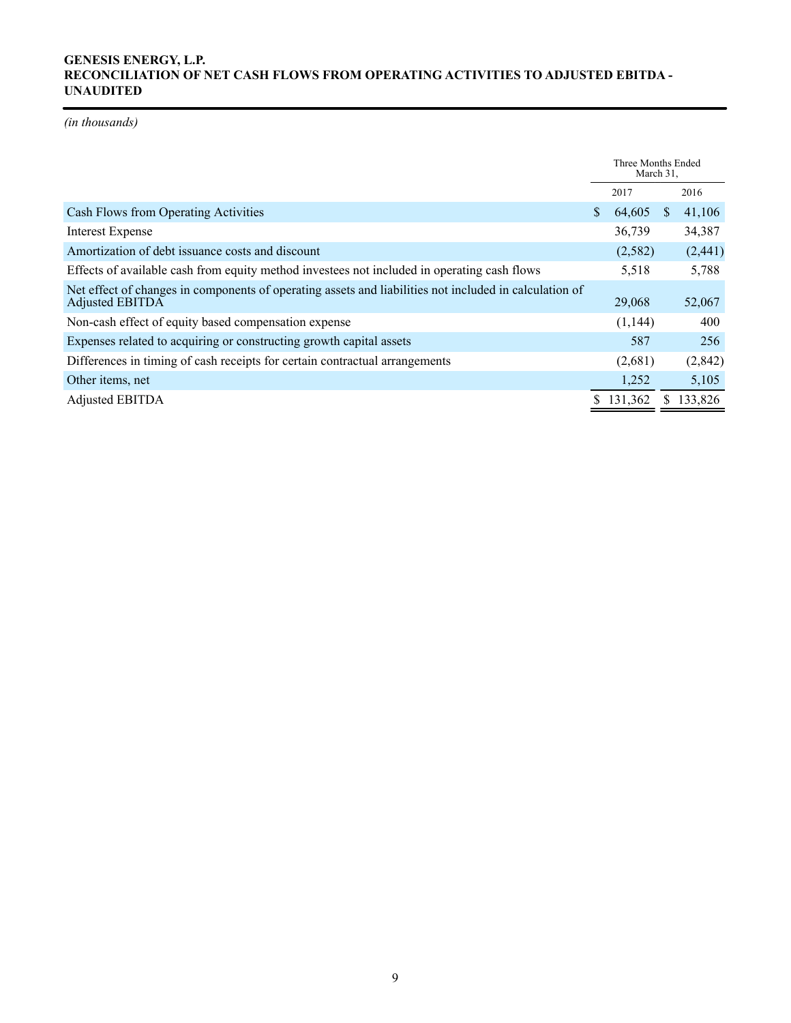# **GENESIS ENERGY, L.P. RECONCILIATION OF NET CASH FLOWS FROM OPERATING ACTIVITIES TO ADJUSTED EBITDA - UNAUDITED**

# *(in thousands)*

|                                                                                                                                  | Three Months Ended<br>March 31, |    |          |
|----------------------------------------------------------------------------------------------------------------------------------|---------------------------------|----|----------|
|                                                                                                                                  | 2017                            |    | 2016     |
| Cash Flows from Operating Activities                                                                                             | \$<br>64,605                    | S. | 41,106   |
| Interest Expense                                                                                                                 | 36,739                          |    | 34,387   |
| Amortization of debt issuance costs and discount                                                                                 | (2,582)                         |    | (2, 441) |
| Effects of available cash from equity method investees not included in operating cash flows                                      | 5,518                           |    | 5,788    |
| Net effect of changes in components of operating assets and liabilities not included in calculation of<br><b>Adjusted EBITDA</b> | 29,068                          |    | 52,067   |
| Non-cash effect of equity based compensation expense                                                                             | (1,144)                         |    | 400      |
| Expenses related to acquiring or constructing growth capital assets                                                              | 587                             |    | 256      |
| Differences in timing of cash receipts for certain contractual arrangements                                                      | (2,681)                         |    | (2,842)  |
| Other items, net                                                                                                                 | 1,252                           |    | 5,105    |
| <b>Adjusted EBITDA</b>                                                                                                           | 131,362                         |    | 133,826  |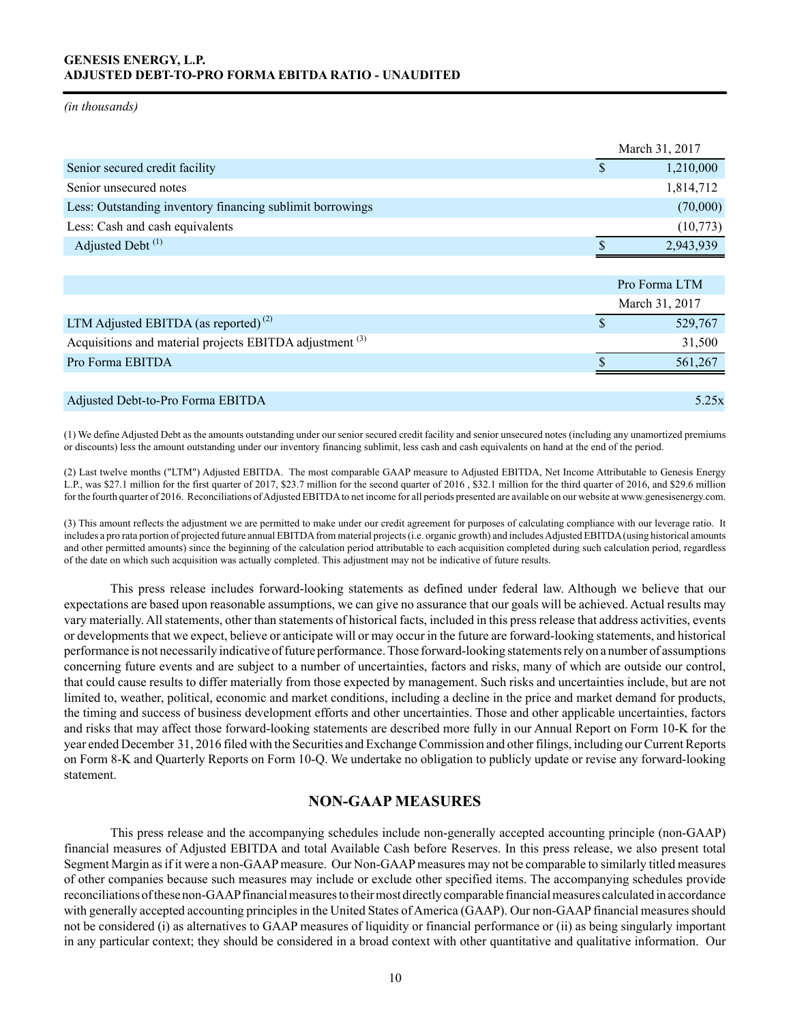## **GENESIS ENERGY, L.P. ADJUSTED DEBT-TO-PRO FORMA EBITDA RATIO - UNAUDITED**

*(in thousands)* 

|                                                                     |               | March 31, 2017 |
|---------------------------------------------------------------------|---------------|----------------|
| Senior secured credit facility                                      | $\mathbb{S}$  | 1,210,000      |
| Senior unsecured notes                                              |               | 1,814,712      |
| Less: Outstanding inventory financing sublimit borrowings           |               | (70,000)       |
| Less: Cash and cash equivalents                                     |               | (10,773)       |
| Adjusted Debt <sup>(1)</sup>                                        |               | 2,943,939      |
|                                                                     |               |                |
|                                                                     |               | Pro Forma LTM  |
|                                                                     |               | March 31, 2017 |
| LTM Adjusted EBITDA (as reported) <sup>(2)</sup>                    | <sup>\$</sup> | 529,767        |
| Acquisitions and material projects EBITDA adjustment <sup>(3)</sup> |               | 31,500         |
| Pro Forma EBITDA                                                    |               | 561,267        |
|                                                                     |               |                |
| Adjusted Debt-to-Pro Forma EBITDA                                   |               | 5.25x          |

(1) We define Adjusted Debt as the amounts outstanding under our senior secured credit facility and senior unsecured notes (including any unamortized premiums or discounts) less the amount outstanding under our inventory financing sublimit, less cash and cash equivalents on hand at the end of the period.

(2) Last twelve months ("LTM") Adjusted EBITDA. The most comparable GAAP measure to Adjusted EBITDA, Net Income Attributable to Genesis Energy L.P., was \$27.1 million for the first quarter of 2017, \$23.7 million for the second quarter of 2016 , \$32.1 million for the third quarter of 2016, and \$29.6 million for the fourth quarter of 2016. Reconciliations of Adjusted EBITDAto net income for all periods presented are available on our website at www.genesisenergy.com.

(3) This amount reflects the adjustment we are permitted to make under our credit agreement for purposes of calculating compliance with our leverage ratio. It includes a pro rata portion of projected future annual EBITDAfrom material projects (i.e. organic growth) and includes Adjusted EBITDA(using historical amounts and other permitted amounts) since the beginning of the calculation period attributable to each acquisition completed during such calculation period, regardless of the date on which such acquisition was actually completed. This adjustment may not be indicative of future results.

This press release includes forward-looking statements as defined under federal law. Although we believe that our expectations are based upon reasonable assumptions, we can give no assurance that our goals will be achieved. Actual results may vary materially. All statements, other than statements of historical facts, included in this press release that address activities, events or developments that we expect, believe or anticipate will or may occur in the future are forward-looking statements, and historical performance is not necessarily indicative of future performance. Those forward-looking statements rely on a number of assumptions concerning future events and are subject to a number of uncertainties, factors and risks, many of which are outside our control, that could cause results to differ materially from those expected by management. Such risks and uncertainties include, but are not limited to, weather, political, economic and market conditions, including a decline in the price and market demand for products, the timing and success of business development efforts and other uncertainties. Those and other applicable uncertainties, factors and risks that may affect those forward-looking statements are described more fully in our Annual Report on Form 10-K for the year ended December 31, 2016 filed with the Securities and Exchange Commission and other filings, including our Current Reports on Form 8-K and Quarterly Reports on Form 10-Q. We undertake no obligation to publicly update or revise any forward-looking statement.

# **NON-GAAP MEASURES**

This press release and the accompanying schedules include non-generally accepted accounting principle (non-GAAP) financial measures of Adjusted EBITDA and total Available Cash before Reserves. In this press release, we also present total Segment Margin as if it were a non-GAAPmeasure. Our Non-GAAPmeasures may not be comparable to similarly titled measures of other companies because such measures may include or exclude other specified items. The accompanying schedules provide reconciliations of these non-GAAPfinancial measures to their most directly comparable financial measures calculated in accordance with generally accepted accounting principles in the United States of America (GAAP). Our non-GAAPfinancial measures should not be considered (i) as alternatives to GAAP measures of liquidity or financial performance or (ii) as being singularly important in any particular context; they should be considered in a broad context with other quantitative and qualitative information. Our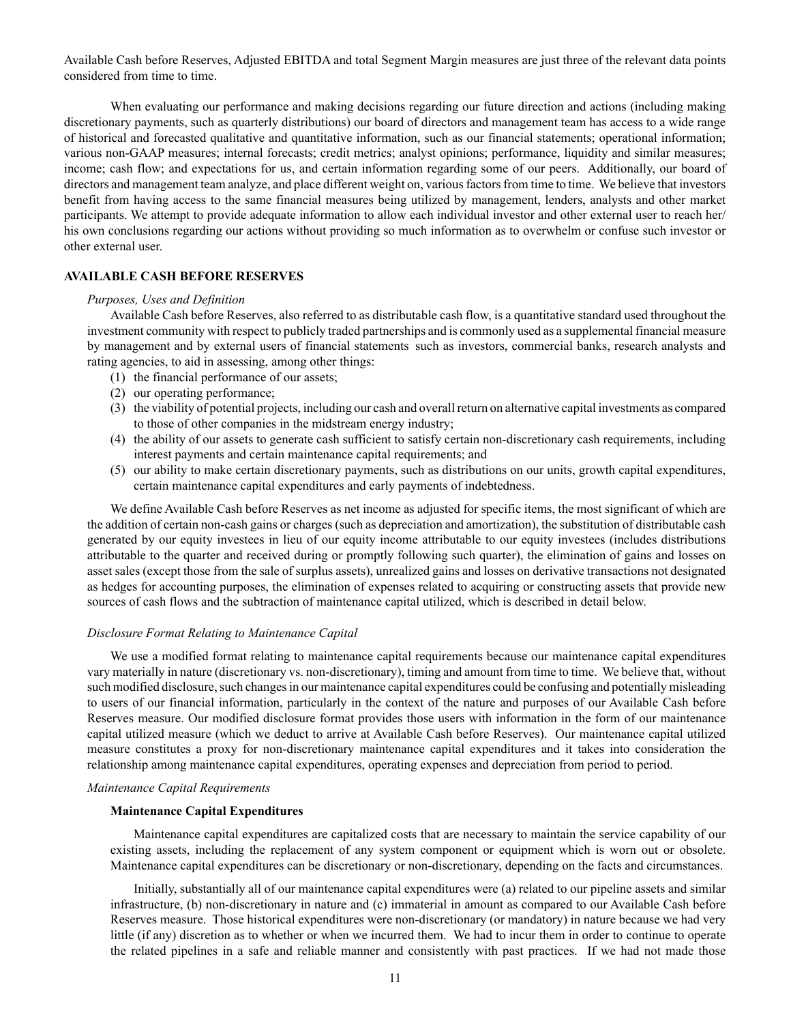Available Cash before Reserves, Adjusted EBITDA and total Segment Margin measures are just three of the relevant data points considered from time to time.

When evaluating our performance and making decisions regarding our future direction and actions (including making discretionary payments, such as quarterly distributions) our board of directors and management team has access to a wide range of historical and forecasted qualitative and quantitative information, such as our financial statements; operational information; various non-GAAP measures; internal forecasts; credit metrics; analyst opinions; performance, liquidity and similar measures; income; cash flow; and expectations for us, and certain information regarding some of our peers. Additionally, our board of directors and management team analyze, and place different weight on, various factors from time to time. We believe that investors benefit from having access to the same financial measures being utilized by management, lenders, analysts and other market participants. We attempt to provide adequate information to allow each individual investor and other external user to reach her/ his own conclusions regarding our actions without providing so much information as to overwhelm or confuse such investor or other external user.

### **AVAILABLE CASH BEFORE RESERVES**

### *Purposes, Uses and Definition*

Available Cash before Reserves, also referred to as distributable cash flow, is a quantitative standard used throughout the investment community with respect to publicly traded partnerships and is commonly used as a supplemental financial measure by management and by external users of financial statements such as investors, commercial banks, research analysts and rating agencies, to aid in assessing, among other things:

- (1) the financial performance of our assets;
- (2) our operating performance;
- (3) the viability of potential projects, including our cash and overall return on alternative capital investments as compared to those of other companies in the midstream energy industry;
- (4) the ability of our assets to generate cash sufficient to satisfy certain non-discretionary cash requirements, including interest payments and certain maintenance capital requirements; and
- (5) our ability to make certain discretionary payments, such as distributions on our units, growth capital expenditures, certain maintenance capital expenditures and early payments of indebtedness.

We define Available Cash before Reserves as net income as adjusted for specific items, the most significant of which are the addition of certain non-cash gains or charges (such as depreciation and amortization), the substitution of distributable cash generated by our equity investees in lieu of our equity income attributable to our equity investees (includes distributions attributable to the quarter and received during or promptly following such quarter), the elimination of gains and losses on asset sales (except those from the sale of surplus assets), unrealized gains and losses on derivative transactions not designated as hedges for accounting purposes, the elimination of expenses related to acquiring or constructing assets that provide new sources of cash flows and the subtraction of maintenance capital utilized, which is described in detail below.

#### *Disclosure Format Relating to Maintenance Capital*

We use a modified format relating to maintenance capital requirements because our maintenance capital expenditures vary materially in nature (discretionary vs. non-discretionary), timing and amount from time to time. We believe that, without such modified disclosure, such changes in our maintenance capital expenditures could be confusing and potentially misleading to users of our financial information, particularly in the context of the nature and purposes of our Available Cash before Reserves measure. Our modified disclosure format provides those users with information in the form of our maintenance capital utilized measure (which we deduct to arrive at Available Cash before Reserves). Our maintenance capital utilized measure constitutes a proxy for non-discretionary maintenance capital expenditures and it takes into consideration the relationship among maintenance capital expenditures, operating expenses and depreciation from period to period.

### *Maintenance Capital Requirements*

#### **Maintenance Capital Expenditures**

Maintenance capital expenditures are capitalized costs that are necessary to maintain the service capability of our existing assets, including the replacement of any system component or equipment which is worn out or obsolete. Maintenance capital expenditures can be discretionary or non-discretionary, depending on the facts and circumstances.

Initially, substantially all of our maintenance capital expenditures were (a) related to our pipeline assets and similar infrastructure, (b) non-discretionary in nature and (c) immaterial in amount as compared to our Available Cash before Reserves measure. Those historical expenditures were non-discretionary (or mandatory) in nature because we had very little (if any) discretion as to whether or when we incurred them. We had to incur them in order to continue to operate the related pipelines in a safe and reliable manner and consistently with past practices. If we had not made those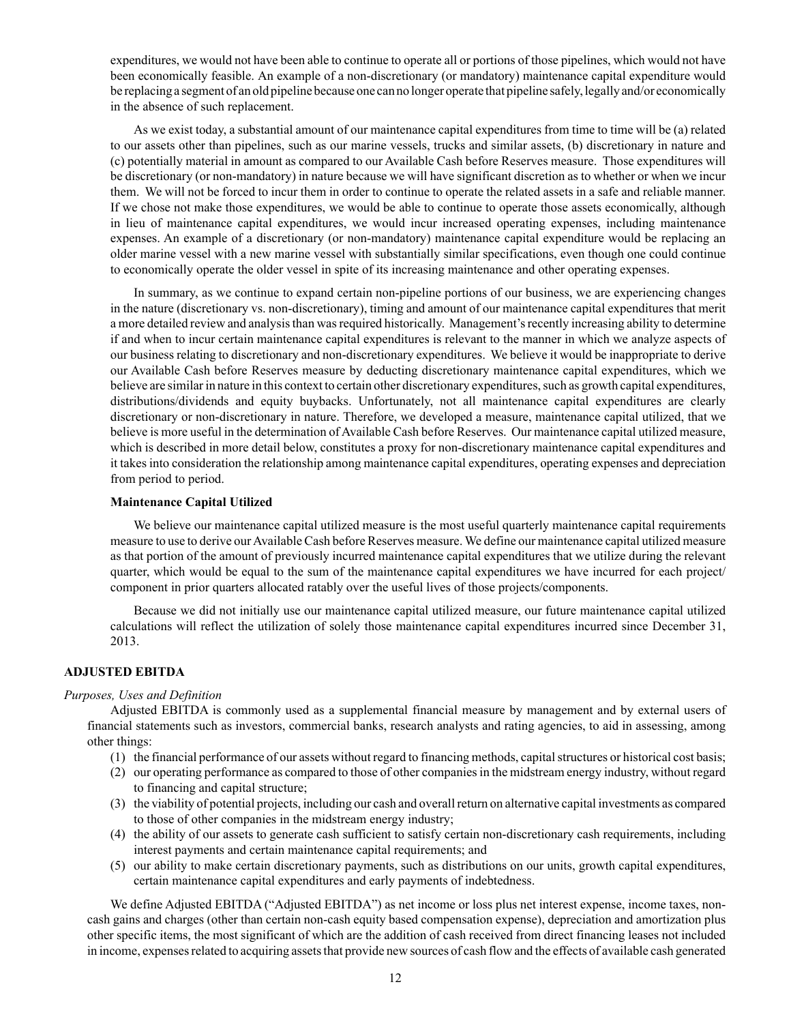expenditures, we would not have been able to continue to operate all or portions of those pipelines, which would not have been economically feasible. An example of a non-discretionary (or mandatory) maintenance capital expenditure would be replacing a segment of an old pipeline because one can no longer operate that pipeline safely, legally and/or economically in the absence of such replacement.

As we exist today, a substantial amount of our maintenance capital expenditures from time to time will be (a) related to our assets other than pipelines, such as our marine vessels, trucks and similar assets, (b) discretionary in nature and (c) potentially material in amount as compared to our Available Cash before Reserves measure. Those expenditures will be discretionary (or non-mandatory) in nature because we will have significant discretion as to whether or when we incur them. We will not be forced to incur them in order to continue to operate the related assets in a safe and reliable manner. If we chose not make those expenditures, we would be able to continue to operate those assets economically, although in lieu of maintenance capital expenditures, we would incur increased operating expenses, including maintenance expenses. An example of a discretionary (or non-mandatory) maintenance capital expenditure would be replacing an older marine vessel with a new marine vessel with substantially similar specifications, even though one could continue to economically operate the older vessel in spite of its increasing maintenance and other operating expenses.

In summary, as we continue to expand certain non-pipeline portions of our business, we are experiencing changes in the nature (discretionary vs. non-discretionary), timing and amount of our maintenance capital expenditures that merit a more detailed review and analysis than was required historically. Management's recently increasing ability to determine if and when to incur certain maintenance capital expenditures is relevant to the manner in which we analyze aspects of our business relating to discretionary and non-discretionary expenditures. We believe it would be inappropriate to derive our Available Cash before Reserves measure by deducting discretionary maintenance capital expenditures, which we believe are similar in nature in this context to certain other discretionary expenditures, such as growth capital expenditures, distributions/dividends and equity buybacks. Unfortunately, not all maintenance capital expenditures are clearly discretionary or non-discretionary in nature. Therefore, we developed a measure, maintenance capital utilized, that we believe is more useful in the determination of Available Cash before Reserves. Our maintenance capital utilized measure, which is described in more detail below, constitutes a proxy for non-discretionary maintenance capital expenditures and it takes into consideration the relationship among maintenance capital expenditures, operating expenses and depreciation from period to period.

### **Maintenance Capital Utilized**

We believe our maintenance capital utilized measure is the most useful quarterly maintenance capital requirements measure to use to derive our Available Cash before Reserves measure. We define our maintenance capital utilized measure as that portion of the amount of previously incurred maintenance capital expenditures that we utilize during the relevant quarter, which would be equal to the sum of the maintenance capital expenditures we have incurred for each project/ component in prior quarters allocated ratably over the useful lives of those projects/components.

Because we did not initially use our maintenance capital utilized measure, our future maintenance capital utilized calculations will reflect the utilization of solely those maintenance capital expenditures incurred since December 31, 2013.

### **ADJUSTED EBITDA**

#### *Purposes, Uses and Definition*

Adjusted EBITDA is commonly used as a supplemental financial measure by management and by external users of financial statements such as investors, commercial banks, research analysts and rating agencies, to aid in assessing, among other things:

- (1) the financial performance of our assets without regard to financing methods, capital structures or historical cost basis;
- (2) our operating performance as compared to those of other companies in the midstream energy industry, without regard to financing and capital structure;
- (3) the viability of potential projects, including our cash and overall return on alternative capital investments as compared to those of other companies in the midstream energy industry;
- (4) the ability of our assets to generate cash sufficient to satisfy certain non-discretionary cash requirements, including interest payments and certain maintenance capital requirements; and
- (5) our ability to make certain discretionary payments, such as distributions on our units, growth capital expenditures, certain maintenance capital expenditures and early payments of indebtedness.

We define Adjusted EBITDA ("Adjusted EBITDA") as net income or loss plus net interest expense, income taxes, noncash gains and charges (other than certain non-cash equity based compensation expense), depreciation and amortization plus other specific items, the most significant of which are the addition of cash received from direct financing leases not included in income, expenses related to acquiring assets that provide new sources of cash flow and the effects of available cash generated